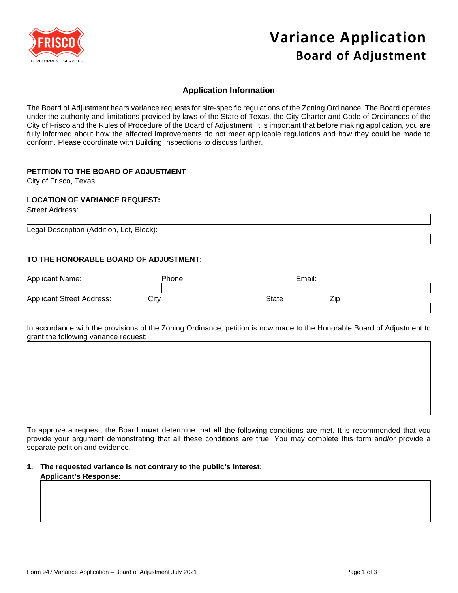

# **Application Information**

The Board of Adjustment hears variance requests for site-specific regulations of the Zoning Ordinance. The Board operates under the authority and limitations provided by laws of the State of Texas, the City Charter and Code of Ordinances of the City of Frisco and the Rules of Procedure of the Board of Adjustment. It is important that before making application, you are fully informed about how the affected improvements do not meet applicable regulations and how they could be made to conform. Please coordinate with Building Inspections to discuss further.

# **PETITION TO THE BOARD OF ADJUSTMENT**

City of Frisco, Texas

#### **LOCATION OF VARIANCE REQUEST:**

Street Address:

Legal Description (Addition, Lot, Block):

#### **TO THE HONORABLE BOARD OF ADJUSTMENT:**

| <b>Applicant Name:</b>           | Phone: | Email:       |  |
|----------------------------------|--------|--------------|--|
|                                  |        |              |  |
| <b>Applicant Street Address:</b> | Citv   | Zir<br>State |  |
|                                  |        |              |  |

In accordance with the provisions of the Zoning Ordinance, petition is now made to the Honorable Board of Adjustment to grant the following variance request:

To approve a request, the Board **must** determine that **all** the following conditions are met. It is recommended that you provide your argument demonstrating that all these conditions are true. You may complete this form and/or provide a separate petition and evidence.

**1. The requested variance is not contrary to the public's interest; Applicant's Response:**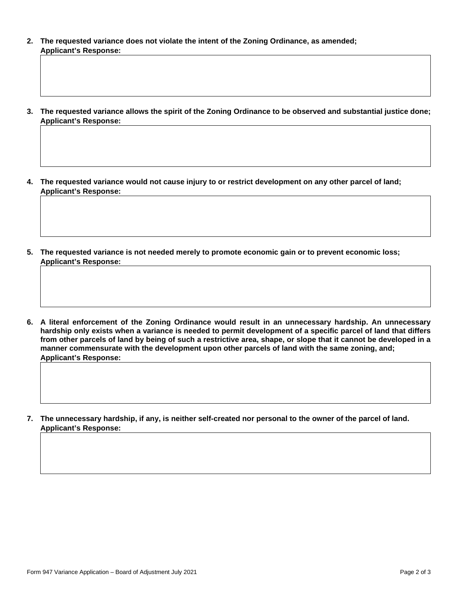- **2. The requested variance does not violate the intent of the Zoning Ordinance, as amended; Applicant's Response:**
- **3. The requested variance allows the spirit of the Zoning Ordinance to be observed and substantial justice done; Applicant's Response:**

**4. The requested variance would not cause injury to or restrict development on any other parcel of land; Applicant's Response:**

**5. The requested variance is not needed merely to promote economic gain or to prevent economic loss; Applicant's Response:**

**6. A literal enforcement of the Zoning Ordinance would result in an unnecessary hardship. An unnecessary hardship only exists when a variance is needed to permit development of a specific parcel of land that differs from other parcels of land by being of such a restrictive area, shape, or slope that it cannot be developed in a manner commensurate with the development upon other parcels of land with the same zoning, and; Applicant's Response:**

**7. The unnecessary hardship, if any, is neither self-created nor personal to the owner of the parcel of land. Applicant's Response:**